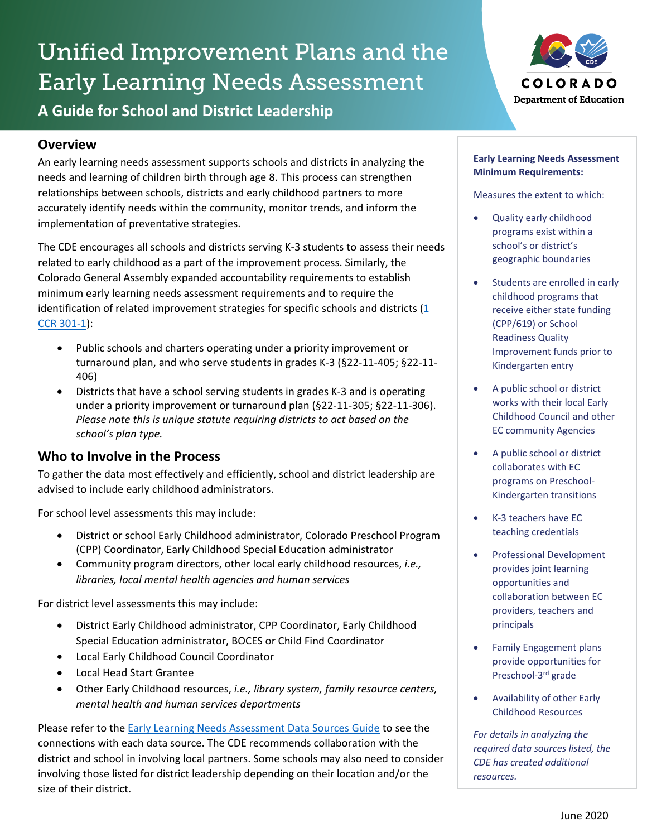# Unified Improvement Plans and the Early Learning Needs Assessment **A Guide for School and District Leadership**

## **Overview**

An early learning needs assessment supports schools and districts in analyzing the needs and learning of children birth through age 8. This process can strengthen relationships between schools, districts and early childhood partners to more accurately identify needs within the community, monitor trends, and inform the implementation of preventative strategies.

The CDE encourages all schools and districts serving K-3 students to assess their needs related to early childhood as a part of the improvement process. Similarly, the Colorado General Assembly expanded accountability requirements to establish minimum early learning needs assessment requirements and to require the identification of related improvement strategies for specific schools and districts  $(1$ [CCR 301-1\)](https://www.sos.state.co.us/CCR/GenerateRulePdf.do?ruleVersionId=7579&fileName=1%20CCR%20301-1):

- Public schools and charters operating under a priority improvement or turnaround plan, and who serve students in grades K-3 (§22-11-405; §22-11- 406)
- Districts that have a school serving students in grades K-3 and is operating under a priority improvement or turnaround plan (§22-11-305; §22-11-306). *Please note this is unique statute requiring districts to act based on the school's plan type.*

## **Who to Involve in the Process**

To gather the data most effectively and efficiently, school and district leadership are advised to include early childhood administrators.

For school level assessments this may include:

- District or school Early Childhood administrator, Colorado Preschool Program (CPP) Coordinator, Early Childhood Special Education administrator
- Community program directors, other local early childhood resources, *i.e., libraries, local mental health agencies and human services*

For district level assessments this may include:

- District Early Childhood administrator, CPP Coordinator, Early Childhood Special Education administrator, BOCES or Child Find Coordinator
- Local Early Childhood Council Coordinator
- Local Head Start Grantee
- Other Early Childhood resources, *i.e., library system, family resource centers, mental health and human services departments*

Please refer to the [Early Learning Needs Assessment Data Sources Guide](http://www.cde.state.co.us/early/elnadatasourceaguide) to see the connections with each data source. The CDE recommends collaboration with the district and school in involving local partners. Some schools may also need to consider involving those listed for district leadership depending on their location and/or the size of their district.



#### **Early Learning Needs Assessment Minimum Requirements:**

Measures the extent to which:

- Quality early childhood programs exist within a school's or district's geographic boundaries
- Students are enrolled in early childhood programs that receive either state funding (CPP/619) or School Readiness Quality Improvement funds prior to Kindergarten entry
- A public school or district works with their local Early Childhood Council and other EC community Agencies
- A public school or district collaborates with EC programs on Preschool-Kindergarten transitions
- K-3 teachers have EC teaching credentials
- Professional Development provides joint learning opportunities and collaboration between EC providers, teachers and principals
- Family Engagement plans provide opportunities for Preschool-3rd grade
- Availability of other Early Childhood Resources

*For details in analyzing the required data sources listed, the CDE has created additional resources.*